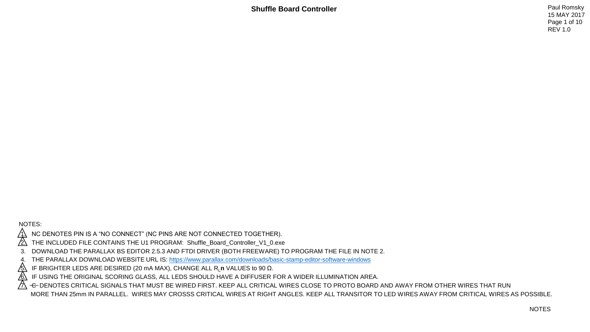15 MAY 2017 Page 1 of 10 REV 1.0

NOTES:

NC DENOTES PIN IS A "NO CONNECT" (NC PINS ARE NOT CONNECTED TOGETHER).

2. THE INCLUDED FILE CONTAINS THE U1 PROGRAM: Shuffle\_Board\_Controller\_V1\_0.exe

3. DOWNLOAD THE PARALLAX BS EDITOR 2.5.3 AND FTDI DRIVER (BOTH FREEWARE) TO PROGRAM THE FILE IN NOTE 2.

4. THE PARALLAX DOWNLOAD WEBSITE URL IS: <u>https://www.parallax.com/downloads/basic-stamp-editor-software-windows</u><br>A IF BRIGHTER LEDS ARE DESIRED (20 mA MAX), CHANGE ALL R<sub>L</sub>n VALUES to 90 Ω.

<u>∕5\</u> IF BRIGHTER LEDS ARE DESIRED (20 mA MAX), CHANGE ALL R<sub>L</sub>n VALUES to 90 Ω.<br><u>∕6\</u> IF USING THE ORIGINAL SCORING GLASS, ALL LEDS SHOULD HAVE A DIFFUSER I IF USING THE ORIGINAL SCORING GLASS, ALL LEDS SHOULD HAVE A DIFFUSER FOR A WIDER ILLUMINATION AREA.

 $\beta$  -c-denotes critical signals that must be wired first. Keep all critical wires close to proto board and away from other wires that run

MORE THAN 25mm IN PARALLEL. WIRES MAY CROSSS CRITICAL WIRES AT RIGHT ANGLES. KEEP ALL TRANSITOR TO LED WIRES AWAY FROM CRITICAL WIRES AS POSSIBLE.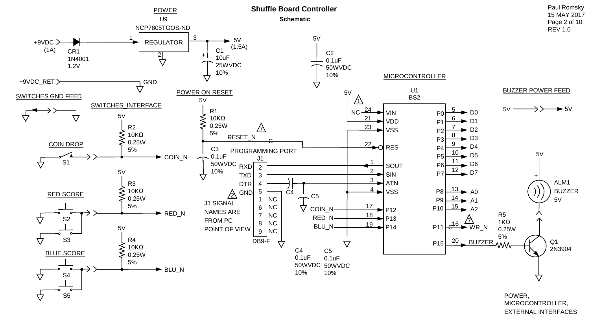

MICROCONTROLLER, EXTERNAL INTERFACES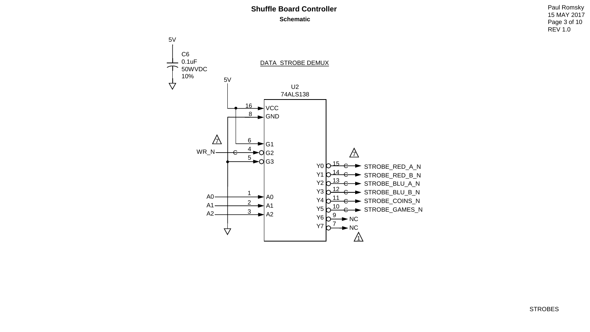15 MAY 2017 Page 3 of 10 REV 1.0

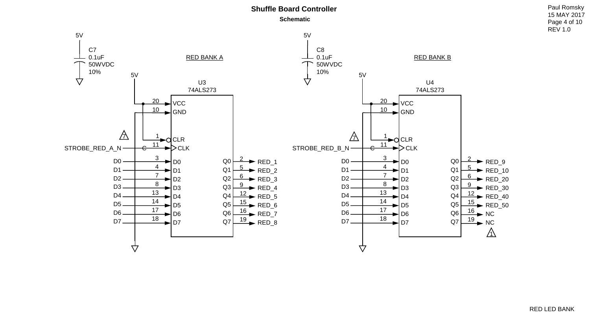15 MAY 2017 Page 4 of 10 REV 1.0

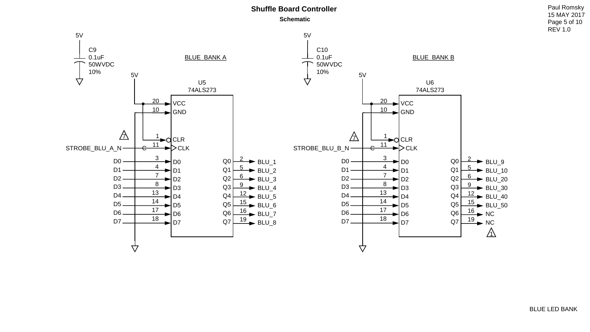15 MAY 2017 Page 5 of 10 REV 1.0

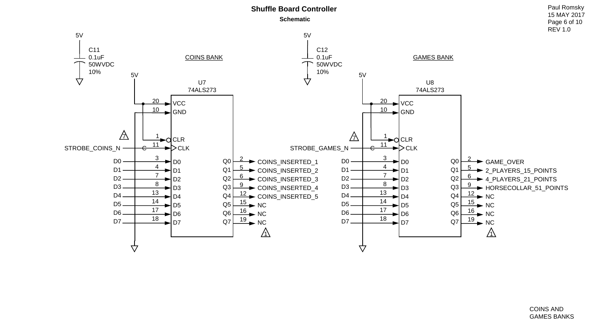

15 MAY 2017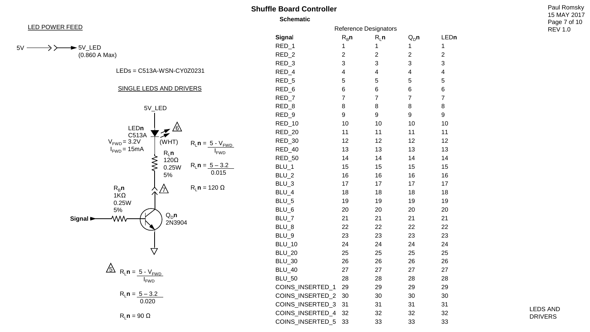**Scl** 



 $5V$   $-$ 

$$
\longrightarrow \rightarrow \rightarrow \rightarrow
$$
 5VLED  
(0.860 A Max)

LEDs = C513A -WSN -CY0Z0231

#### SINGLE LEDS AND DRIVERS



$$
\sum_{i=1}^{n} R_{i} n = \frac{5 - V_{FWD}}{I_{FWD}}
$$

$$
R_L n = \frac{5 - 3.2}{0.020}
$$

 $R<sub>L</sub>$ **n** = 90 Ω

| <b>Schematic</b>      |                |                         |                         |                         |  |  |  |
|-----------------------|----------------|-------------------------|-------------------------|-------------------------|--|--|--|
| Reference Designators |                |                         |                         |                         |  |  |  |
| Signal                | $R_B$ n        | $R_1$ n                 | $Q_{D}$ n               | LEDn                    |  |  |  |
| RED_1                 | 1              | 1                       | 1                       | 1                       |  |  |  |
| RED_2                 | $\overline{c}$ | $\overline{\mathbf{c}}$ | $\overline{c}$          | $\overline{\mathbf{c}}$ |  |  |  |
| RED_3                 | 3              | 3                       | 3                       | 3                       |  |  |  |
| RED_4                 | 4              | 4                       | $\overline{\mathbf{4}}$ | 4                       |  |  |  |
| RED_5                 | 5              | 5                       | 5                       | 5                       |  |  |  |
| RED_6                 | 6              | 6                       | 6                       | 6                       |  |  |  |
| RED_7                 | $\overline{7}$ | $\overline{7}$          | $\overline{7}$          | $\overline{7}$          |  |  |  |
| RED_8                 | 8              | 8                       | 8                       | 8                       |  |  |  |
| RED_9                 | 9              | 9                       | 9                       | 9                       |  |  |  |
| RED_10                | 10             | 10                      | 10                      | 10                      |  |  |  |
| RED_20                | 11             | 11                      | 11                      | 11                      |  |  |  |
| RED_30                | 12             | 12                      | 12                      | 12                      |  |  |  |
| RED_40                | 13             | 13                      | 13                      | 13                      |  |  |  |
| RED_50                | 14             | 14                      | 14                      | 14                      |  |  |  |
| BLU_1                 | 15             | 15                      | 15                      | 15                      |  |  |  |
| BLU_2                 | 16             | 16                      | 16                      | 16                      |  |  |  |
| BLU_3                 | 17             | 17                      | 17                      | 17                      |  |  |  |
| BLU_4                 | 18             | 18                      | 18                      | 18                      |  |  |  |
| BLU_5                 | 19             | 19                      | 19                      | 19                      |  |  |  |
| BLU_6                 | 20             | 20                      | 20                      | 20                      |  |  |  |
| BLU_7                 | 21             | 21                      | 21                      | 21                      |  |  |  |
| BLU_8                 | 22             | 22                      | 22                      | 22                      |  |  |  |
| BLU_9                 | 23             | 23                      | 23                      | 23                      |  |  |  |
| <b>BLU_10</b>         | 24             | 24                      | 24                      | 24                      |  |  |  |
| <b>BLU_20</b>         | 25             | 25                      | 25                      | 25                      |  |  |  |
| <b>BLU_30</b>         | 26             | 26                      | 26                      | 26                      |  |  |  |
| <b>BLU_40</b>         | 27             | 27                      | 27                      | 27                      |  |  |  |
| <b>BLU_50</b>         | 28             | 28                      | 28                      | 28                      |  |  |  |
| COINS_INSERTED_1      | 29             | 29                      | 29                      | 29                      |  |  |  |
| COINS_INSERTED_2      | 30             | 30                      | 30                      | 30                      |  |  |  |
| COINS_INSERTED_3      | 31             | 31                      | 31                      | 31                      |  |  |  |
| COINS_INSERTED_4      | 32             | 32                      | 32                      | 32                      |  |  |  |
| COINS INSERTED 5      | 33             | 33                      | 33                      | 33                      |  |  |  |

15 MAY 2017 Page 7 of 10 REV 1.0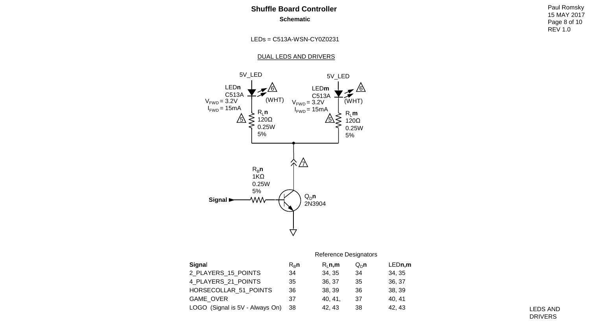# **Shuffle Board Controller Paul Romsky Schematic**

15 MAY 2017 Page 8 of 10 REV 1.0

LEDs = C513A-WSN-CY0Z0231

DUAL LEDS AND DRIVERS



|                                 | Reference Designators |         |          |        |  |  |
|---------------------------------|-----------------------|---------|----------|--------|--|--|
| Signal                          | $R_R n$               | R, n, m | $Q_{D}n$ | LEDn,m |  |  |
| 2 PLAYERS 15 POINTS             | 34                    | 34.35   | 34       | 34, 35 |  |  |
| 4 PLAYERS 21 POINTS             | 35                    | 36, 37  | 35       | 36, 37 |  |  |
| HORSECOLLAR 51 POINTS           | 36                    | 38, 39  | 36       | 38, 39 |  |  |
| <b>GAME OVER</b>                | 37                    | 40, 41, | 37       | 40, 41 |  |  |
| LOGO (Signal is 5V - Always On) | -38                   | 42.43   | 38       | 42.43  |  |  |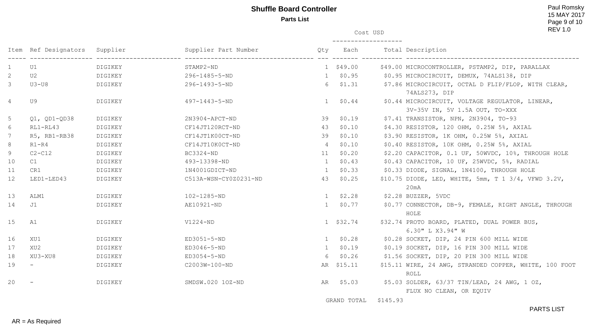# **Shuffle Board Controller Paul Romsky Parts List**

15 MAY 2017 Page 9 of 10 REV 1.0

Cost USD

|                 | Item Ref Designators Supplier |         | Supplier Part Number  | Qty          | Each            | Total Description                                                                 |
|-----------------|-------------------------------|---------|-----------------------|--------------|-----------------|-----------------------------------------------------------------------------------|
| $\mathbf{1}$    | U1                            | DIGIKEY | STAMP2-ND             |              | $1$ \$49.00     | \$49.00 MICROCONTROLLER, PSTAMP2, DIP, PARALLAX                                   |
| $\mathbf{2}$    | U 2                           | DIGIKEY | 296-1485-5-ND         |              | $1$ \$0.95      | \$0.95 MICROCIRCUIT, DEMUX, 74ALS138, DIP                                         |
| $\mathcal{S}$   | $U3-U8$                       | DIGIKEY | 296-1493-5-ND         |              | $6\quad$ \$1.31 | \$7.86 MICROCIRCUIT, OCTAL D FLIP/FLOP, WITH CLEAR,<br>74ALS273, DIP              |
| $4\overline{ }$ | U 9                           | DIGIKEY | 497-1443-5-ND         | 1            | \$0.44          | \$0.44 MICROCIRCUIT, VOLTAGE REGULATOR, LINEAR,<br>3V-35V IN, 5V 1.5A OUT, TO-XXX |
| 5               | $Q1, QD1-QD38$                | DIGIKEY | 2N3904-APCT-ND        | 39           | \$0.19          | \$7.41 TRANSISTOR, NPN, 2N3904, TO-93                                             |
| 6               | $RL1 - RL43$                  | DIGIKEY | CF14JT120RCT-ND       | 43           | \$0.10          | \$4.30 RESISTOR, 120 OHM, 0.25W 5%, AXIAL                                         |
| $7\phantom{.0}$ | R5, RB1-RB38                  | DIGIKEY | CF14JT1K00CT-ND       | 39           | \$0.10          | \$3.90 RESISTOR, 1K OHM, 0.25W 5%, AXIAL                                          |
| 8               | R1-R4                         | DIGIKEY | CF14JT10K0CT-ND       | 4            | \$0.10          | $$0.40$ RESISTOR, 10K OHM, $0.25W$ 5%, AXIAL                                      |
| 9               | $C2-C12$                      | DIGIKEY | BC3324-ND             | 11           | \$0.20          | \$2.20 CAPACITOR, 0.1 UF, 50WVDC, 10%, THROUGH HOLE                               |
| 10              | C1                            | DIGIKEY | 493-13398-ND          | 1            | \$0.43          | \$0.43 CAPACITOR, 10 UF, 25WVDC, 5%, RADIAL                                       |
| 11              | CR1                           | DIGIKEY | 1N4001GDICT-ND        | 1            | \$0.33          | \$0.33 DIODE, SIGNAL, 1N4100, THROUGH HOLE                                        |
| 12              | LED1-LED43                    | DIGIKEY | C513A-WSN-CY0Z0231-ND | 43           | \$0.25          | \$10.75 DIODE, LED, WHITE, 5mm, T 1 3/4, VFWD 3.2V,<br>20mA                       |
| 13              | ALM1                          | DIGIKEY | 102-1285-ND           | 1            | \$2.28          | \$2.28 BUZZER, 5VDC                                                               |
| 14              | J1                            | DIGIKEY | AE10921-ND            |              | $1 \quad $0.77$ | \$0.77 CONNECTOR, DB-9, FEMALE, RIGHT ANGLE, THROUGH<br>HOLE                      |
| 15              | A1                            | DIGIKEY | $V1224-ND$            |              | 1 \$32.74       | \$32.74 PROTO BOARD, PLATED, DUAL POWER BUS,<br>6.30" L X3.94" W                  |
| 16              | XU1                           | DIGIKEY | ED3051-5-ND           |              | $1$ \$0.28      | \$0.28 SOCKET, DIP, 24 PIN 600 MILL WIDE                                          |
| 17              | XU2                           | DIGIKEY | ED3046-5-ND           | $\mathbf{1}$ | \$0.19          | \$0.19 SOCKET, DIP, 16 PIN 300 MILL WIDE                                          |
| 18              | XU3-XU8                       | DIGIKEY | ED3054-5-ND           | 6            | \$0.26          | \$1.56 SOCKET, DIP, 20 PIN 300 MILL WIDE                                          |
| 19              |                               | DIGIKEY | C2003W-100-ND         |              | AR \$15.11      | \$15.11 WIRE, 24 AWG, STRANDED COPPER, WHITE, 100 FOOT<br>ROLL                    |
| 20              |                               | DIGIKEY | SMDSW.020 10Z-ND      |              | AR \$5.03       | \$5.03 SOLDER, 63/37 TIN/LEAD, 24 AWG, 1 OZ,<br>FLUX NO CLEAN, OR EQUIV           |
|                 |                               |         |                       |              | GRAND TOTAL     | \$145.93                                                                          |

PARTS LIST